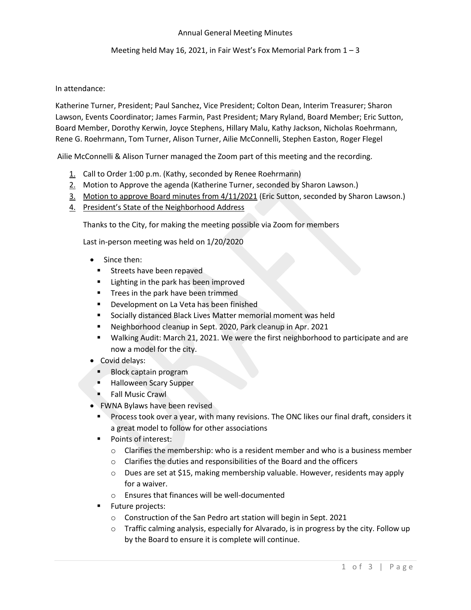#### Annual General Meeting Minutes

## Meeting held May 16, 2021, in Fair West's Fox Memorial Park from  $1 - 3$

## In attendance:

Katherine Turner, President; Paul Sanchez, Vice President; Colton Dean, Interim Treasurer; Sharon Lawson, Events Coordinator; James Farmin, Past President; Mary Ryland, Board Member; Eric Sutton, Board Member, Dorothy Kerwin, Joyce Stephens, Hillary Malu, Kathy Jackson, Nicholas Roehrmann, Rene G. Roehrmann, Tom Turner, Alison Turner, Ailie McConnelli, Stephen Easton, Roger Flegel

Ailie McConnelli & Alison Turner managed the Zoom part of this meeting and the recording.

- 1. Call to Order 1:00 p.m. (Kathy, seconded by Renee Roehrmann)
- 2. Motion to Approve the agenda (Katherine Turner, seconded by Sharon Lawson.)
- 3. Motion to approve Board minutes from 4/11/2021 (Eric Sutton, seconded by Sharon Lawson.)
- 4. President's State of the Neighborhood Address

Thanks to the City, for making the meeting possible via Zoom for members

Last in-person meeting was held on 1/20/2020

- Since then:
	- **EXPLOSE Streets have been repaved**
	- Lighting in the park has been improved
	- **■** Trees in the park have been trimmed
	- Development on La Veta has been finished
	- Socially distanced Black Lives Matter memorial moment was held
	- Neighborhood cleanup in Sept. 2020, Park cleanup in Apr. 2021
	- Walking Audit: March 21, 2021. We were the first neighborhood to participate and are now a model for the city.
- Covid delays:
	- Block captain program
	- Halloween Scary Supper
	- Fall Music Crawl
- FWNA Bylaws have been revised
	- Process took over a year, with many revisions. The ONC likes our final draft, considers it a great model to follow for other associations
	- Points of interest:
		- $\circ$  Clarifies the membership: who is a resident member and who is a business member
		- o Clarifies the duties and responsibilities of the Board and the officers
		- $\circ$  Dues are set at \$15, making membership valuable. However, residents may apply for a waiver.
		- o Ensures that finances will be well-documented
	- **Future projects:** 
		- o Construction of the San Pedro art station will begin in Sept. 2021
		- $\circ$  Traffic calming analysis, especially for Alvarado, is in progress by the city. Follow up by the Board to ensure it is complete will continue.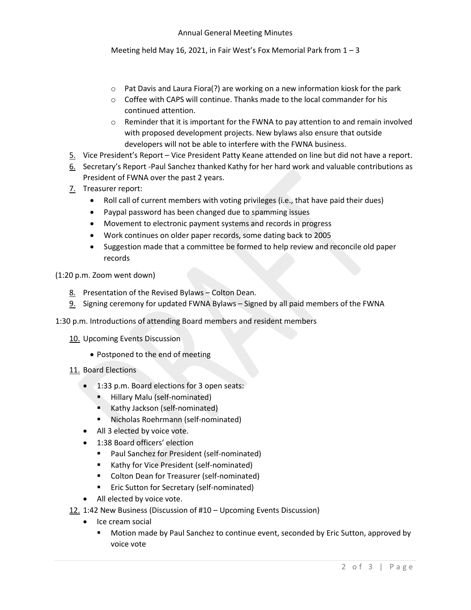Meeting held May 16, 2021, in Fair West's Fox Memorial Park from 1 – 3

- $\circ$  Pat Davis and Laura Fiora(?) are working on a new information kiosk for the park
- $\circ$  Coffee with CAPS will continue. Thanks made to the local commander for his continued attention.
- $\circ$  Reminder that it is important for the FWNA to pay attention to and remain involved with proposed development projects. New bylaws also ensure that outside developers will not be able to interfere with the FWNA business.
- 5. Vice President's Report Vice President Patty Keane attended on line but did not have a report.
- 6. Secretary's Report -Paul Sanchez thanked Kathy for her hard work and valuable contributions as President of FWNA over the past 2 years.
- 7. Treasurer report:
	- Roll call of current members with voting privileges (i.e., that have paid their dues)
	- Paypal password has been changed due to spamming issues
	- Movement to electronic payment systems and records in progress
	- Work continues on older paper records, some dating back to 2005
	- Suggestion made that a committee be formed to help review and reconcile old paper records
- (1:20 p.m. Zoom went down)
	- 8. Presentation of the Revised Bylaws Colton Dean.
	- 9. Signing ceremony for updated FWNA Bylaws Signed by all paid members of the FWNA
- 1:30 p.m. Introductions of attending Board members and resident members
	- 10. Upcoming Events Discussion
		- Postponed to the end of meeting
	- 11. Board Elections
		- 1:33 p.m. Board elections for 3 open seats:
			- **E** Hillary Malu (self-nominated)
			- Kathy Jackson (self-nominated)
			- Nicholas Roehrmann (self-nominated)
		- All 3 elected by voice vote.
		- 1:38 Board officers' election
			- Paul Sanchez for President (self-nominated)
			- Kathy for Vice President (self-nominated)
			- Colton Dean for Treasurer (self-nominated)
			- Eric Sutton for Secretary (self-nominated)
		- All elected by voice vote.
	- 12. 1:42 New Business (Discussion of #10 Upcoming Events Discussion)
		- Ice cream social
			- **■** Motion made by Paul Sanchez to continue event, seconded by Eric Sutton, approved by voice vote